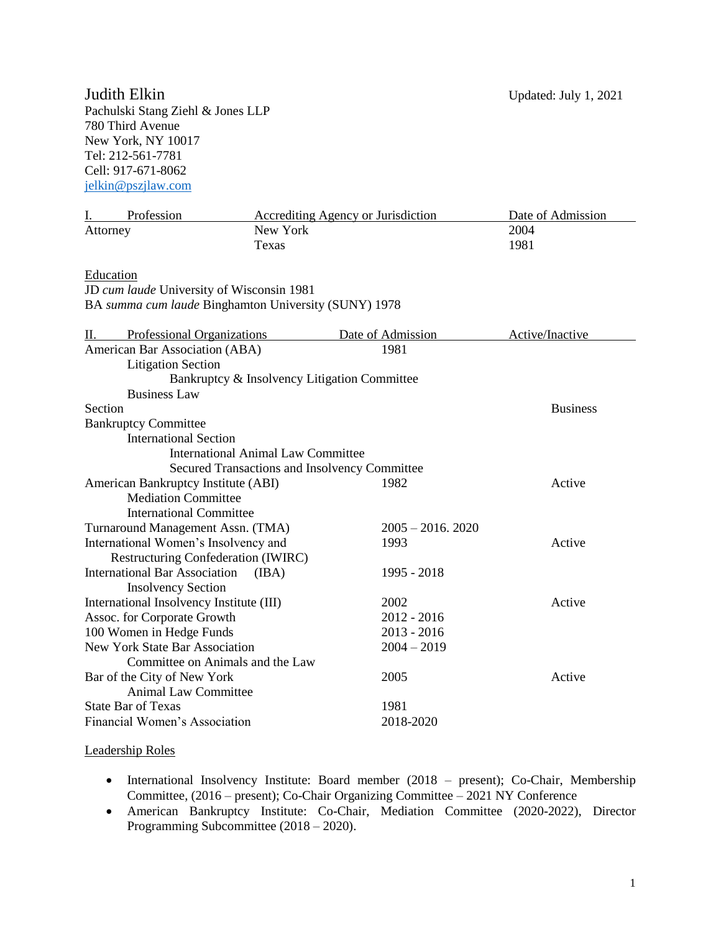Pachulski Stang Ziehl & Jones LLP 780 Third Avenue New York, NY 10017 Tel: 212-561-7781 Cell: 917-671-8062 [jelkin@pszjlaw.com](mailto:jelkin@pszjlaw.com)

| Profession<br>L.                                     | <b>Accrediting Agency or Jurisdiction</b> |                      | Date of Admission |
|------------------------------------------------------|-------------------------------------------|----------------------|-------------------|
| Attorney                                             | New York                                  |                      | 2004              |
|                                                      | Texas                                     |                      | 1981              |
|                                                      |                                           |                      |                   |
| <b>Education</b>                                     |                                           |                      |                   |
| JD cum laude University of Wisconsin 1981            |                                           |                      |                   |
| BA summa cum laude Binghamton University (SUNY) 1978 |                                           |                      |                   |
| <b>Professional Organizations</b><br>П.              |                                           | Date of Admission    | Active/Inactive   |
| American Bar Association (ABA)                       |                                           | 1981                 |                   |
| <b>Litigation Section</b>                            |                                           |                      |                   |
| Bankruptcy & Insolvency Litigation Committee         |                                           |                      |                   |
| <b>Business Law</b>                                  |                                           |                      |                   |
| Section                                              |                                           |                      | <b>Business</b>   |
| <b>Bankruptcy Committee</b>                          |                                           |                      |                   |
| <b>International Section</b>                         |                                           |                      |                   |
| <b>International Animal Law Committee</b>            |                                           |                      |                   |
| Secured Transactions and Insolvency Committee        |                                           |                      |                   |
| American Bankruptcy Institute (ABI)                  |                                           | 1982                 | Active            |
| <b>Mediation Committee</b>                           |                                           |                      |                   |
| <b>International Committee</b>                       |                                           |                      |                   |
| Turnaround Management Assn. (TMA)                    |                                           | $2005 - 2016$ , 2020 |                   |
| International Women's Insolvency and                 |                                           | 1993                 | Active            |
| Restructuring Confederation (IWIRC)                  |                                           |                      |                   |
| <b>International Bar Association</b>                 | (IBA)                                     | 1995 - 2018          |                   |
| <b>Insolvency Section</b>                            |                                           |                      |                   |
| International Insolvency Institute (III)             |                                           | 2002                 | Active            |
| Assoc. for Corporate Growth                          |                                           | $2012 - 2016$        |                   |
| 100 Women in Hedge Funds                             |                                           | $2013 - 2016$        |                   |
| <b>New York State Bar Association</b>                |                                           | $2004 - 2019$        |                   |
| Committee on Animals and the Law                     |                                           |                      |                   |
| Bar of the City of New York                          |                                           | 2005                 | Active            |
| <b>Animal Law Committee</b>                          |                                           |                      |                   |
| <b>State Bar of Texas</b>                            |                                           | 1981                 |                   |
| Financial Women's Association                        |                                           | 2018-2020            |                   |

#### Leadership Roles

- International Insolvency Institute: Board member (2018 present); Co-Chair, Membership Committee, (2016 – present); Co-Chair Organizing Committee – 2021 NY Conference
- American Bankruptcy Institute: Co-Chair, Mediation Committee (2020-2022), Director Programming Subcommittee (2018 – 2020).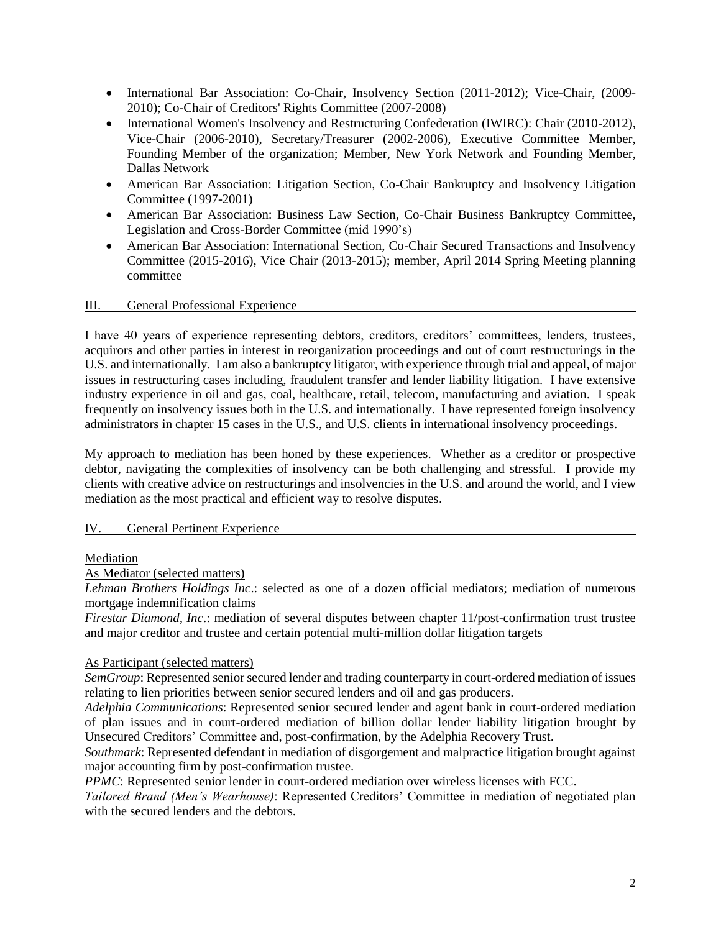- International Bar Association: Co-Chair, Insolvency Section (2011-2012); Vice-Chair, (2009- 2010); Co-Chair of Creditors' Rights Committee (2007-2008)
- International Women's Insolvency and Restructuring Confederation (IWIRC): Chair (2010-2012), Vice-Chair (2006-2010), Secretary/Treasurer (2002-2006), Executive Committee Member, Founding Member of the organization; Member, New York Network and Founding Member, Dallas Network
- American Bar Association: Litigation Section, Co-Chair Bankruptcy and Insolvency Litigation Committee (1997-2001)
- American Bar Association: Business Law Section, Co-Chair Business Bankruptcy Committee, Legislation and Cross-Border Committee (mid 1990's)
- American Bar Association: International Section, Co-Chair Secured Transactions and Insolvency Committee (2015-2016), Vice Chair (2013-2015); member, April 2014 Spring Meeting planning committee

### III. General Professional Experience

I have 40 years of experience representing debtors, creditors, creditors' committees, lenders, trustees, acquirors and other parties in interest in reorganization proceedings and out of court restructurings in the U.S. and internationally. I am also a bankruptcy litigator, with experience through trial and appeal, of major issues in restructuring cases including, fraudulent transfer and lender liability litigation. I have extensive industry experience in oil and gas, coal, healthcare, retail, telecom, manufacturing and aviation. I speak frequently on insolvency issues both in the U.S. and internationally. I have represented foreign insolvency administrators in chapter 15 cases in the U.S., and U.S. clients in international insolvency proceedings.

My approach to mediation has been honed by these experiences. Whether as a creditor or prospective debtor, navigating the complexities of insolvency can be both challenging and stressful. I provide my clients with creative advice on restructurings and insolvencies in the U.S. and around the world, and I view mediation as the most practical and efficient way to resolve disputes.

#### IV. General Pertinent Experience

#### Mediation

#### As Mediator (selected matters)

*Lehman Brothers Holdings Inc*.: selected as one of a dozen official mediators; mediation of numerous mortgage indemnification claims

*Firestar Diamond, Inc.:* mediation of several disputes between chapter 11/post-confirmation trust trustee and major creditor and trustee and certain potential multi-million dollar litigation targets

#### As Participant (selected matters)

*SemGroup*: Represented senior secured lender and trading counterparty in court-ordered mediation of issues relating to lien priorities between senior secured lenders and oil and gas producers.

*Adelphia Communications*: Represented senior secured lender and agent bank in court-ordered mediation of plan issues and in court-ordered mediation of billion dollar lender liability litigation brought by Unsecured Creditors' Committee and, post-confirmation, by the Adelphia Recovery Trust.

*Southmark*: Represented defendant in mediation of disgorgement and malpractice litigation brought against major accounting firm by post-confirmation trustee.

*PPMC*: Represented senior lender in court-ordered mediation over wireless licenses with FCC.

*Tailored Brand (Men's Wearhouse)*: Represented Creditors' Committee in mediation of negotiated plan with the secured lenders and the debtors.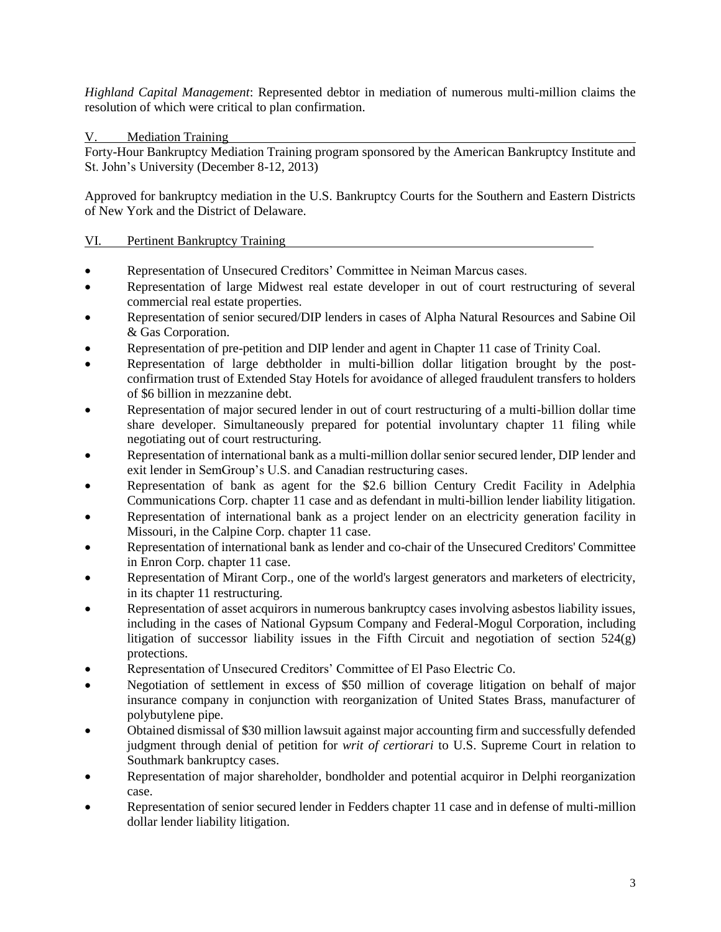*Highland Capital Management*: Represented debtor in mediation of numerous multi-million claims the resolution of which were critical to plan confirmation.

V. Mediation Training

Forty-Hour Bankruptcy Mediation Training program sponsored by the American Bankruptcy Institute and St. John's University (December 8-12, 2013)

Approved for bankruptcy mediation in the U.S. Bankruptcy Courts for the Southern and Eastern Districts of New York and the District of Delaware.

#### VI. Pertinent Bankruptcy Training

- Representation of Unsecured Creditors' Committee in Neiman Marcus cases.
- Representation of large Midwest real estate developer in out of court restructuring of several commercial real estate properties.
- Representation of senior secured/DIP lenders in cases of Alpha Natural Resources and Sabine Oil & Gas Corporation.
- Representation of pre-petition and DIP lender and agent in Chapter 11 case of Trinity Coal.
- Representation of large debtholder in multi-billion dollar litigation brought by the postconfirmation trust of Extended Stay Hotels for avoidance of alleged fraudulent transfers to holders of \$6 billion in mezzanine debt.
- Representation of major secured lender in out of court restructuring of a multi-billion dollar time share developer. Simultaneously prepared for potential involuntary chapter 11 filing while negotiating out of court restructuring.
- Representation of international bank as a multi-million dollar senior secured lender, DIP lender and exit lender in SemGroup's U.S. and Canadian restructuring cases.
- Representation of bank as agent for the \$2.6 billion Century Credit Facility in Adelphia Communications Corp. chapter 11 case and as defendant in multi-billion lender liability litigation.
- Representation of international bank as a project lender on an electricity generation facility in Missouri, in the Calpine Corp. chapter 11 case.
- Representation of international bank as lender and co-chair of the Unsecured Creditors' Committee in Enron Corp. chapter 11 case.
- Representation of Mirant Corp., one of the world's largest generators and marketers of electricity, in its chapter 11 restructuring.
- Representation of asset acquirors in numerous bankruptcy cases involving asbestos liability issues, including in the cases of National Gypsum Company and Federal-Mogul Corporation, including litigation of successor liability issues in the Fifth Circuit and negotiation of section 524(g) protections.
- Representation of Unsecured Creditors' Committee of El Paso Electric Co.
- Negotiation of settlement in excess of \$50 million of coverage litigation on behalf of major insurance company in conjunction with reorganization of United States Brass, manufacturer of polybutylene pipe.
- Obtained dismissal of \$30 million lawsuit against major accounting firm and successfully defended judgment through denial of petition for *writ of certiorari* to U.S. Supreme Court in relation to Southmark bankruptcy cases.
- Representation of major shareholder, bondholder and potential acquiror in Delphi reorganization case.
- Representation of senior secured lender in Fedders chapter 11 case and in defense of multi-million dollar lender liability litigation.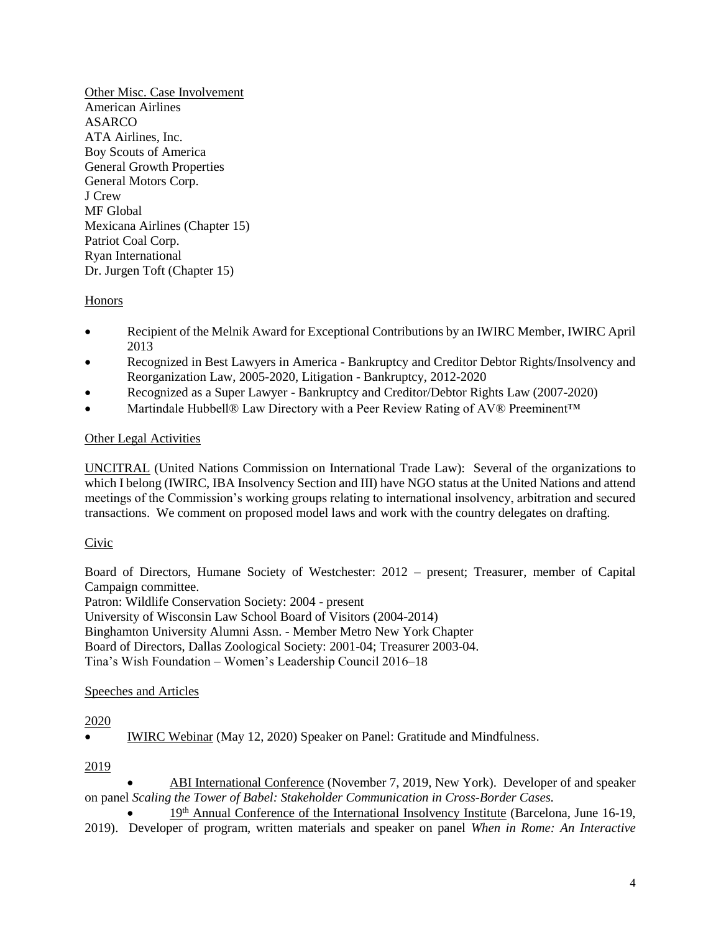Other Misc. Case Involvement American Airlines ASARCO ATA Airlines, Inc. Boy Scouts of America General Growth Properties General Motors Corp. J Crew MF Global Mexicana Airlines (Chapter 15) Patriot Coal Corp. Ryan International Dr. Jurgen Toft (Chapter 15)

# Honors

- Recipient of the Melnik Award for Exceptional Contributions by an IWIRC Member, IWIRC April 2013
- Recognized in Best Lawyers in America Bankruptcy and Creditor Debtor Rights/Insolvency and Reorganization Law, 2005-2020, Litigation - Bankruptcy, 2012-2020
- Recognized as a Super Lawyer Bankruptcy and Creditor/Debtor Rights Law (2007-2020)
- Martindale Hubbell® Law Directory with a Peer Review Rating of AV® Preeminent™

### Other Legal Activities

UNCITRAL (United Nations Commission on International Trade Law): Several of the organizations to which I belong (IWIRC, IBA Insolvency Section and III) have NGO status at the United Nations and attend meetings of the Commission's working groups relating to international insolvency, arbitration and secured transactions. We comment on proposed model laws and work with the country delegates on drafting.

# Civic

Board of Directors, Humane Society of Westchester: 2012 – present; Treasurer, member of Capital Campaign committee.

Patron: Wildlife Conservation Society: 2004 - present

University of Wisconsin Law School Board of Visitors (2004-2014)

Binghamton University Alumni Assn. - Member Metro New York Chapter

Board of Directors, Dallas Zoological Society: 2001-04; Treasurer 2003-04.

Tina's Wish Foundation – Women's Leadership Council 2016–18

# Speeches and Articles

#### 2020

IWIRC Webinar (May 12, 2020) Speaker on Panel: Gratitude and Mindfulness.

# 2019

 ABI International Conference (November 7, 2019, New York). Developer of and speaker on panel *Scaling the Tower of Babel: Stakeholder Communication in Cross-Border Cases.*

 19th Annual Conference of the International Insolvency Institute (Barcelona, June 16-19, 2019). Developer of program, written materials and speaker on panel *When in Rome: An Interactive*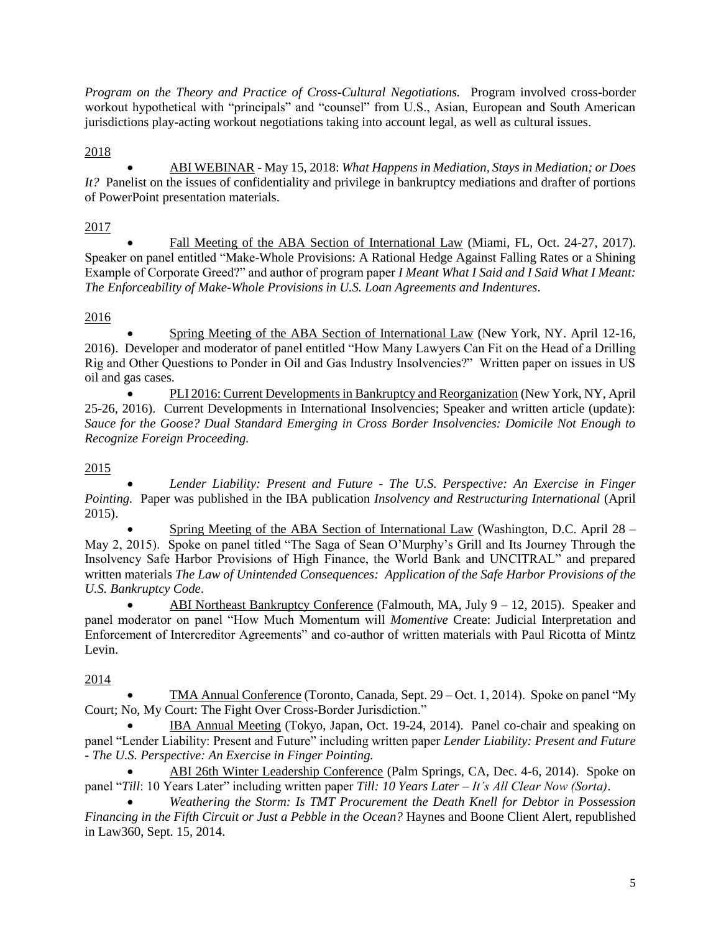*Program on the Theory and Practice of Cross-Cultural Negotiations.* Program involved cross-border workout hypothetical with "principals" and "counsel" from U.S., Asian, European and South American jurisdictions play-acting workout negotiations taking into account legal, as well as cultural issues.

2018

 ABI WEBINAR - May 15, 2018: *What Happens in Mediation, Stays in Mediation; or Does It?* Panelist on the issues of confidentiality and privilege in bankruptcy mediations and drafter of portions of PowerPoint presentation materials.

2017

 Fall Meeting of the ABA Section of International Law (Miami, FL, Oct. 24-27, 2017). Speaker on panel entitled "Make-Whole Provisions: A Rational Hedge Against Falling Rates or a Shining Example of Corporate Greed?" and author of program paper *I Meant What I Said and I Said What I Meant: The Enforceability of Make-Whole Provisions in U.S. Loan Agreements and Indentures*.

# 2016

 Spring Meeting of the ABA Section of International Law (New York, NY. April 12-16, 2016). Developer and moderator of panel entitled "How Many Lawyers Can Fit on the Head of a Drilling Rig and Other Questions to Ponder in Oil and Gas Industry Insolvencies?" Written paper on issues in US oil and gas cases.

 PLI 2016: Current Developments in Bankruptcy and Reorganization (New York, NY, April 25-26, 2016). Current Developments in International Insolvencies; Speaker and written article (update): *Sauce for the Goose? Dual Standard Emerging in Cross Border Insolvencies: Domicile Not Enough to Recognize Foreign Proceeding.*

# 2015

 *Lender Liability: Present and Future - The U.S. Perspective: An Exercise in Finger Pointing.* Paper was published in the IBA publication *Insolvency and Restructuring International* (April 2015).

 Spring Meeting of the ABA Section of International Law (Washington, D.C. April 28 – May 2, 2015). Spoke on panel titled "The Saga of Sean O'Murphy's Grill and Its Journey Through the Insolvency Safe Harbor Provisions of High Finance, the World Bank and UNCITRAL" and prepared written materials *The Law of Unintended Consequences: Application of the Safe Harbor Provisions of the U.S. Bankruptcy Code*.

 ABI Northeast Bankruptcy Conference (Falmouth, MA, July 9 – 12, 2015). Speaker and panel moderator on panel "How Much Momentum will *Momentive* Create: Judicial Interpretation and Enforcement of Intercreditor Agreements" and co-author of written materials with Paul Ricotta of Mintz Levin.

2014

 TMA Annual Conference (Toronto, Canada, Sept. 29 – Oct. 1, 2014). Spoke on panel "My Court; No, My Court: The Fight Over Cross-Border Jurisdiction."

 IBA Annual Meeting (Tokyo, Japan, Oct. 19-24, 2014). Panel co-chair and speaking on panel "Lender Liability: Present and Future" including written paper *Lender Liability: Present and Future - The U.S. Perspective: An Exercise in Finger Pointing.*

 ABI 26th Winter Leadership Conference (Palm Springs, CA, Dec. 4-6, 2014). Spoke on panel "*Till*: 10 Years Later" including written paper *Till: 10 Years Later – It's All Clear Now (Sorta)*.

 *Weathering the Storm: Is TMT Procurement the Death Knell for Debtor in Possession Financing in the Fifth Circuit or Just a Pebble in the Ocean?* Haynes and Boone Client Alert, republished in Law360, Sept. 15, 2014.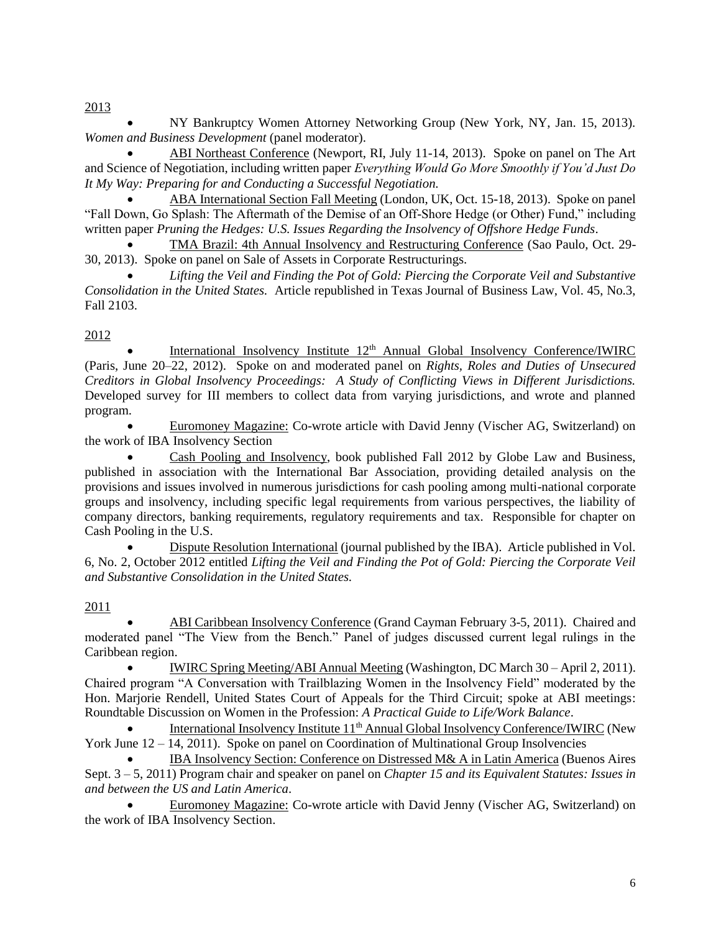2013

 NY Bankruptcy Women Attorney Networking Group (New York, NY, Jan. 15, 2013). *Women and Business Development* (panel moderator).

 ABI Northeast Conference (Newport, RI, July 11-14, 2013). Spoke on panel on The Art and Science of Negotiation, including written paper *Everything Would Go More Smoothly if You'd Just Do It My Way: Preparing for and Conducting a Successful Negotiation.*

 ABA International Section Fall Meeting (London, UK, Oct. 15-18, 2013). Spoke on panel "Fall Down, Go Splash: The Aftermath of the Demise of an Off-Shore Hedge (or Other) Fund," including written paper *Pruning the Hedges: U.S. Issues Regarding the Insolvency of Offshore Hedge Funds*.

 TMA Brazil: 4th Annual Insolvency and Restructuring Conference (Sao Paulo, Oct. 29- 30, 2013). Spoke on panel on Sale of Assets in Corporate Restructurings.

 *Lifting the Veil and Finding the Pot of Gold: Piercing the Corporate Veil and Substantive Consolidation in the United States.* Article republished in Texas Journal of Business Law, Vol. 45, No.3, Fall 2103.

# 2012

International Insolvency Institute  $12<sup>th</sup>$  Annual Global Insolvency Conference/IWIRC (Paris, June 20–22, 2012). Spoke on and moderated panel on *Rights, Roles and Duties of Unsecured Creditors in Global Insolvency Proceedings: A Study of Conflicting Views in Different Jurisdictions.* Developed survey for III members to collect data from varying jurisdictions, and wrote and planned program.

 Euromoney Magazine: Co-wrote article with David Jenny (Vischer AG, Switzerland) on the work of IBA Insolvency Section

 Cash Pooling and Insolvency, book published Fall 2012 by Globe Law and Business, published in association with the International Bar Association, providing detailed analysis on the provisions and issues involved in numerous jurisdictions for cash pooling among multi-national corporate groups and insolvency, including specific legal requirements from various perspectives, the liability of company directors, banking requirements, regulatory requirements and tax. Responsible for chapter on Cash Pooling in the U.S.

 Dispute Resolution International (journal published by the IBA). Article published in Vol. 6, No. 2, October 2012 entitled *Lifting the Veil and Finding the Pot of Gold: Piercing the Corporate Veil and Substantive Consolidation in the United States.* 

# 2011

 ABI Caribbean Insolvency Conference (Grand Cayman February 3-5, 2011). Chaired and moderated panel "The View from the Bench." Panel of judges discussed current legal rulings in the Caribbean region.

 IWIRC Spring Meeting/ABI Annual Meeting (Washington, DC March 30 – April 2, 2011). Chaired program "A Conversation with Trailblazing Women in the Insolvency Field" moderated by the Hon. Marjorie Rendell, United States Court of Appeals for the Third Circuit; spoke at ABI meetings: Roundtable Discussion on Women in the Profession: *A Practical Guide to Life/Work Balance*.

International Insolvency Institute 11<sup>th</sup> Annual Global Insolvency Conference/IWIRC (New York June  $12 - 14$ , 2011). Spoke on panel on Coordination of Multinational Group Insolvencies

 IBA Insolvency Section: Conference on Distressed M& A in Latin America (Buenos Aires Sept. 3 – 5, 2011) Program chair and speaker on panel on *Chapter 15 and its Equivalent Statutes: Issues in and between the US and Latin America*.

 Euromoney Magazine: Co-wrote article with David Jenny (Vischer AG, Switzerland) on the work of IBA Insolvency Section.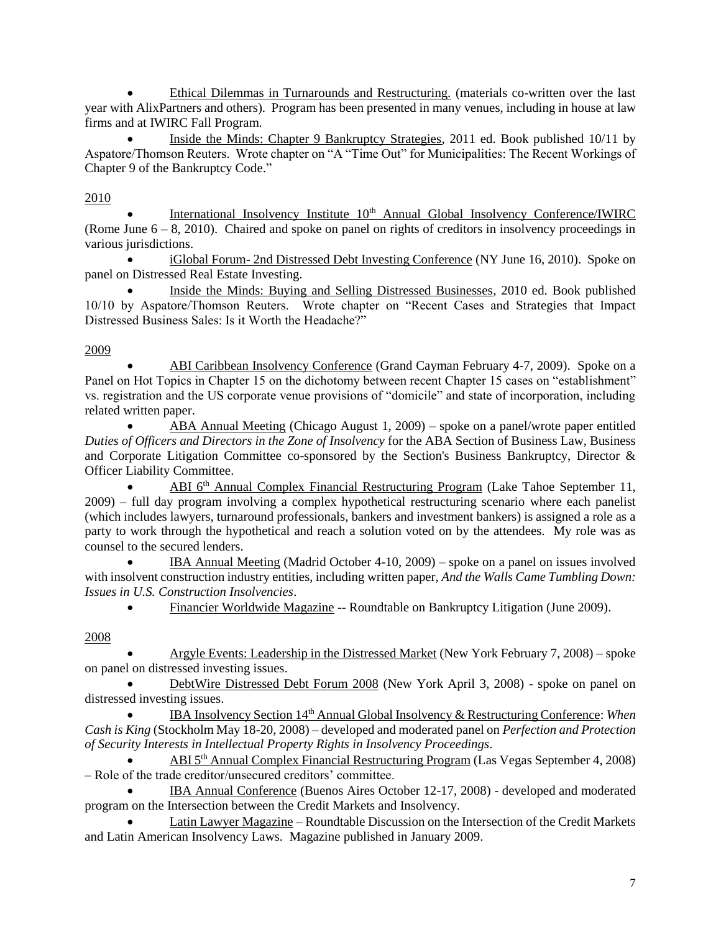Ethical Dilemmas in Turnarounds and Restructuring. (materials co-written over the last year with AlixPartners and others). Program has been presented in many venues, including in house at law firms and at IWIRC Fall Program.

 Inside the Minds: Chapter 9 Bankruptcy Strategies, 2011 ed. Book published 10/11 by Aspatore/Thomson Reuters. Wrote chapter on "A "Time Out" for Municipalities: The Recent Workings of Chapter 9 of the Bankruptcy Code."

# 2010

International Insolvency Institute 10<sup>th</sup> Annual Global Insolvency Conference/IWIRC (Rome June 6 – 8, 2010). Chaired and spoke on panel on rights of creditors in insolvency proceedings in various jurisdictions.

 iGlobal Forum- 2nd Distressed Debt Investing Conference (NY June 16, 2010). Spoke on panel on Distressed Real Estate Investing.

 Inside the Minds: Buying and Selling Distressed Businesses, 2010 ed. Book published 10/10 by Aspatore/Thomson Reuters. Wrote chapter on "Recent Cases and Strategies that Impact Distressed Business Sales: Is it Worth the Headache?"

# 2009

 ABI Caribbean Insolvency Conference (Grand Cayman February 4-7, 2009). Spoke on a Panel on Hot Topics in Chapter 15 on the dichotomy between recent Chapter 15 cases on "establishment" vs. registration and the US corporate venue provisions of "domicile" and state of incorporation, including related written paper.

 ABA Annual Meeting (Chicago August 1, 2009) – spoke on a panel/wrote paper entitled *Duties of Officers and Directors in the Zone of Insolvency* for the ABA Section of Business Law, Business and Corporate Litigation Committee co-sponsored by the Section's Business Bankruptcy, Director & Officer Liability Committee.

 ABI 6th Annual Complex Financial Restructuring Program (Lake Tahoe September 11, 2009) – full day program involving a complex hypothetical restructuring scenario where each panelist (which includes lawyers, turnaround professionals, bankers and investment bankers) is assigned a role as a party to work through the hypothetical and reach a solution voted on by the attendees. My role was as counsel to the secured lenders.

 IBA Annual Meeting (Madrid October 4-10, 2009) – spoke on a panel on issues involved with insolvent construction industry entities, including written paper, *And the Walls Came Tumbling Down: Issues in U.S. Construction Insolvencies*.

Financier Worldwide Magazine -- Roundtable on Bankruptcy Litigation (June 2009).

# 2008

 Argyle Events: Leadership in the Distressed Market (New York February 7, 2008) – spoke on panel on distressed investing issues.

 DebtWire Distressed Debt Forum 2008 (New York April 3, 2008) - spoke on panel on distressed investing issues.

 IBA Insolvency Section 14th Annual Global Insolvency & Restructuring Conference: *When Cash is King* (Stockholm May 18-20, 2008) – developed and moderated panel on *Perfection and Protection of Security Interests in Intellectual Property Rights in Insolvency Proceedings*.

 ABI 5th Annual Complex Financial Restructuring Program (Las Vegas September 4, 2008) – Role of the trade creditor/unsecured creditors' committee.

 IBA Annual Conference (Buenos Aires October 12-17, 2008) - developed and moderated program on the Intersection between the Credit Markets and Insolvency.

 Latin Lawyer Magazine – Roundtable Discussion on the Intersection of the Credit Markets and Latin American Insolvency Laws. Magazine published in January 2009.